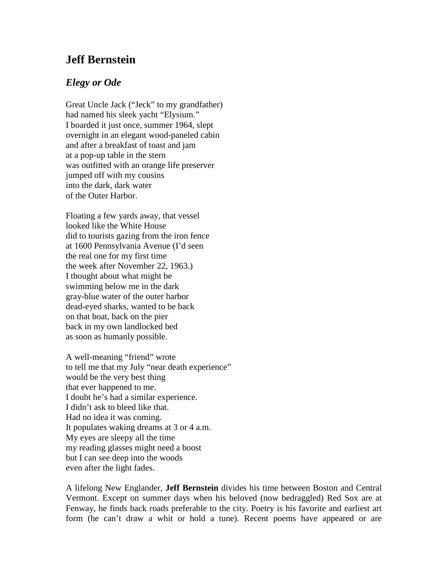## **Jeff Bernstein**

## *Elegy or Ode*

Great Uncle Jack ("Jeck" to my grandfather) had named his sleek yacht "Elysium." I boarded it just once, summer 1964, slept overnight in an elegant wood-paneled cabin and after a breakfast of toast and jam at a pop-up table in the stern was outfitted with an orange life preserver jumped off with my cousins into the dark, dark water of the Outer Harbor.

Floating a few yards away, that vessel looked like the White House did to tourists gazing from the iron fence at 1600 Pennsylvania Avenue (I'd seen the real one for my first time the week after November 22, 1963.) I thought about what might be swimming below me in the dark gray-blue water of the outer harbor dead-eyed sharks, wanted to be back on that boat, back on the pier back in my own landlocked bed as soon as humanly possible.

A well-meaning "friend" wrote to tell me that my July "near death experience" would be the very best thing that ever happened to me. I doubt he's had a similar experience. I didn't ask to bleed like that. Had no idea it was coming. It populates waking dreams at 3 or 4 a.m. My eyes are sleepy all the time my reading glasses might need a boost but I can see deep into the woods even after the light fades.

A lifelong New Englander, **Jeff Bernstein** divides his time between Boston and Central Vermont. Except on summer days when his beloved (now bedraggled) Red Sox are at Fenway, he finds back roads preferable to the city. Poetry is his favorite and earliest art form (he can't draw a whit or hold a tune). Recent poems have appeared or are